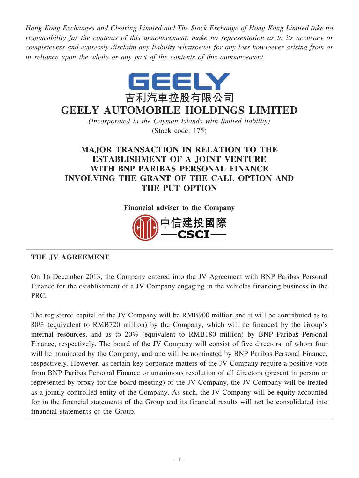*Hong Kong Exchanges and Clearing Limited and The Stock Exchange of Hong Kong Limited take no responsibility for the contents of this announcement, make no representation as to its accuracy or completeness and expressly disclaim any liability whatsoever for any loss howsoever arising from or in reliance upon the whole or any part of the contents of this announcement.*



# **GEELY AUTOMOBILE HOLDINGS LIMITED**

*(Incorporated in the Cayman Islands with limited liability)* (Stock code: 175)

# **MAJOR TRANSACTION IN RELATION TO THE ESTABLISHMENT OF A JOINT VENTURE WITH BNP PARIBAS PERSONAL FINANCE INVOLVING THE GRANT OF THE CALL OPTION AND THE PUT OPTION**

**Financial adviser to the Company**



# **THE JV AGREEMENT**

On 16 December 2013, the Company entered into the JV Agreement with BNP Paribas Personal Finance for the establishment of a JV Company engaging in the vehicles financing business in the PRC.

The registered capital of the JV Company will be RMB900 million and it will be contributed as to 80% (equivalent to RMB720 million) by the Company, which will be financed by the Group's internal resources, and as to 20% (equivalent to RMB180 million) by BNP Paribas Personal Finance, respectively. The board of the JV Company will consist of five directors, of whom four will be nominated by the Company, and one will be nominated by BNP Paribas Personal Finance, respectively. However, as certain key corporate matters of the JV Company require a positive vote from BNP Paribas Personal Finance or unanimous resolution of all directors (present in person or represented by proxy for the board meeting) of the JV Company, the JV Company will be treated as a jointly controlled entity of the Company. As such, the JV Company will be equity accounted for in the financial statements of the Group and its financial results will not be consolidated into financial statements of the Group.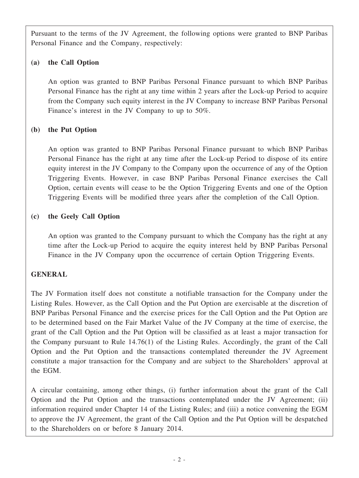Pursuant to the terms of the JV Agreement, the following options were granted to BNP Paribas Personal Finance and the Company, respectively:

# **(a) the Call Option**

An option was granted to BNP Paribas Personal Finance pursuant to which BNP Paribas Personal Finance has the right at any time within 2 years after the Lock-up Period to acquire from the Company such equity interest in the JV Company to increase BNP Paribas Personal Finance's interest in the JV Company to up to 50%.

# **(b) the Put Option**

An option was granted to BNP Paribas Personal Finance pursuant to which BNP Paribas Personal Finance has the right at any time after the Lock-up Period to dispose of its entire equity interest in the JV Company to the Company upon the occurrence of any of the Option Triggering Events. However, in case BNP Paribas Personal Finance exercises the Call Option, certain events will cease to be the Option Triggering Events and one of the Option Triggering Events will be modified three years after the completion of the Call Option.

# **(c) the Geely Call Option**

An option was granted to the Company pursuant to which the Company has the right at any time after the Lock-up Period to acquire the equity interest held by BNP Paribas Personal Finance in the JV Company upon the occurrence of certain Option Triggering Events.

## **GENERAL**

The JV Formation itself does not constitute a notifiable transaction for the Company under the Listing Rules. However, as the Call Option and the Put Option are exercisable at the discretion of BNP Paribas Personal Finance and the exercise prices for the Call Option and the Put Option are to be determined based on the Fair Market Value of the JV Company at the time of exercise, the grant of the Call Option and the Put Option will be classified as at least a major transaction for the Company pursuant to Rule 14.76(1) of the Listing Rules. Accordingly, the grant of the Call Option and the Put Option and the transactions contemplated thereunder the JV Agreement constitute a major transaction for the Company and are subject to the Shareholders' approval at the EGM.

A circular containing, among other things, (i) further information about the grant of the Call Option and the Put Option and the transactions contemplated under the JV Agreement; (ii) information required under Chapter 14 of the Listing Rules; and (iii) a notice convening the EGM to approve the JV Agreement, the grant of the Call Option and the Put Option will be despatched to the Shareholders on or before 8 January 2014.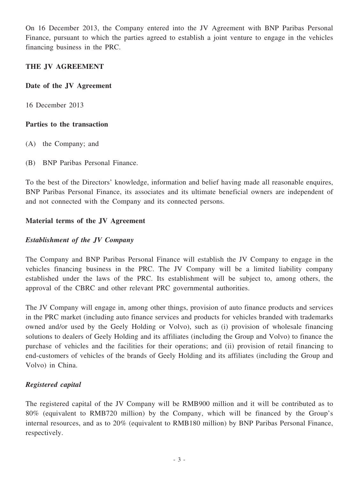On 16 December 2013, the Company entered into the JV Agreement with BNP Paribas Personal Finance, pursuant to which the parties agreed to establish a joint venture to engage in the vehicles financing business in the PRC.

#### **THE JV AGREEMENT**

#### **Date of the JV Agreement**

16 December 2013

#### **Parties to the transaction**

- (A) the Company; and
- (B) BNP Paribas Personal Finance.

To the best of the Directors' knowledge, information and belief having made all reasonable enquires, BNP Paribas Personal Finance, its associates and its ultimate beneficial owners are independent of and not connected with the Company and its connected persons.

## **Material terms of the JV Agreement**

## *Establishment of the JV Company*

The Company and BNP Paribas Personal Finance will establish the JV Company to engage in the vehicles financing business in the PRC. The JV Company will be a limited liability company established under the laws of the PRC. Its establishment will be subject to, among others, the approval of the CBRC and other relevant PRC governmental authorities.

The JV Company will engage in, among other things, provision of auto finance products and services in the PRC market (including auto finance services and products for vehicles branded with trademarks owned and/or used by the Geely Holding or Volvo), such as (i) provision of wholesale financing solutions to dealers of Geely Holding and its affiliates (including the Group and Volvo) to finance the purchase of vehicles and the facilities for their operations; and (ii) provision of retail financing to end-customers of vehicles of the brands of Geely Holding and its affiliates (including the Group and Volvo) in China.

## *Registered capital*

The registered capital of the JV Company will be RMB900 million and it will be contributed as to 80% (equivalent to RMB720 million) by the Company, which will be financed by the Group's internal resources, and as to 20% (equivalent to RMB180 million) by BNP Paribas Personal Finance, respectively.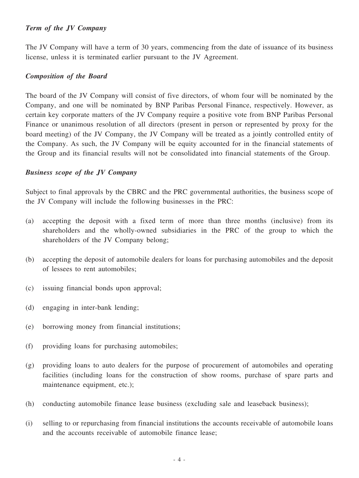#### *Term of the JV Company*

The JV Company will have a term of 30 years, commencing from the date of issuance of its business license, unless it is terminated earlier pursuant to the JV Agreement.

#### *Composition of the Board*

The board of the JV Company will consist of five directors, of whom four will be nominated by the Company, and one will be nominated by BNP Paribas Personal Finance, respectively. However, as certain key corporate matters of the JV Company require a positive vote from BNP Paribas Personal Finance or unanimous resolution of all directors (present in person or represented by proxy for the board meeting) of the JV Company, the JV Company will be treated as a jointly controlled entity of the Company. As such, the JV Company will be equity accounted for in the financial statements of the Group and its financial results will not be consolidated into financial statements of the Group.

#### *Business scope of the JV Company*

Subject to final approvals by the CBRC and the PRC governmental authorities, the business scope of the JV Company will include the following businesses in the PRC:

- (a) accepting the deposit with a fixed term of more than three months (inclusive) from its shareholders and the wholly-owned subsidiaries in the PRC of the group to which the shareholders of the JV Company belong;
- (b) accepting the deposit of automobile dealers for loans for purchasing automobiles and the deposit of lessees to rent automobiles;
- (c) issuing financial bonds upon approval;
- (d) engaging in inter-bank lending;
- (e) borrowing money from financial institutions;
- (f) providing loans for purchasing automobiles;
- (g) providing loans to auto dealers for the purpose of procurement of automobiles and operating facilities (including loans for the construction of show rooms, purchase of spare parts and maintenance equipment, etc.);
- (h) conducting automobile finance lease business (excluding sale and leaseback business);
- (i) selling to or repurchasing from financial institutions the accounts receivable of automobile loans and the accounts receivable of automobile finance lease;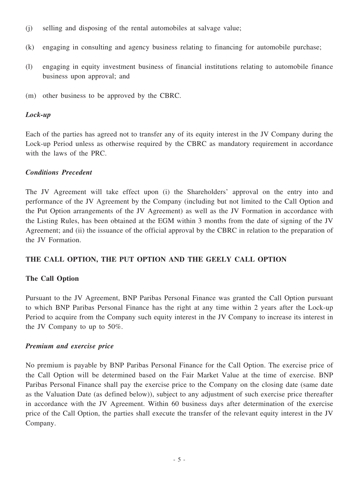- (j) selling and disposing of the rental automobiles at salvage value;
- (k) engaging in consulting and agency business relating to financing for automobile purchase;
- (l) engaging in equity investment business of financial institutions relating to automobile finance business upon approval; and
- (m) other business to be approved by the CBRC.

#### *Lock-up*

Each of the parties has agreed not to transfer any of its equity interest in the JV Company during the Lock-up Period unless as otherwise required by the CBRC as mandatory requirement in accordance with the laws of the PRC.

#### *Conditions Precedent*

The JV Agreement will take effect upon (i) the Shareholders' approval on the entry into and performance of the JV Agreement by the Company (including but not limited to the Call Option and the Put Option arrangements of the JV Agreement) as well as the JV Formation in accordance with the Listing Rules, has been obtained at the EGM within 3 months from the date of signing of the JV Agreement; and (ii) the issuance of the official approval by the CBRC in relation to the preparation of the JV Formation.

## **THE CALL OPTION, THE PUT OPTION AND THE GEELY CALL OPTION**

## **The Call Option**

Pursuant to the JV Agreement, BNP Paribas Personal Finance was granted the Call Option pursuant to which BNP Paribas Personal Finance has the right at any time within 2 years after the Lock-up Period to acquire from the Company such equity interest in the JV Company to increase its interest in the JV Company to up to 50%.

#### *Premium and exercise price*

No premium is payable by BNP Paribas Personal Finance for the Call Option. The exercise price of the Call Option will be determined based on the Fair Market Value at the time of exercise. BNP Paribas Personal Finance shall pay the exercise price to the Company on the closing date (same date as the Valuation Date (as defined below)), subject to any adjustment of such exercise price thereafter in accordance with the JV Agreement. Within 60 business days after determination of the exercise price of the Call Option, the parties shall execute the transfer of the relevant equity interest in the JV Company.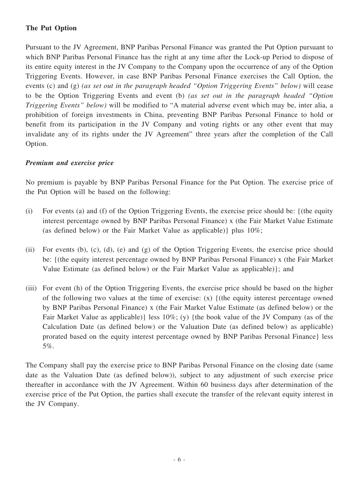# **The Put Option**

Pursuant to the JV Agreement, BNP Paribas Personal Finance was granted the Put Option pursuant to which BNP Paribas Personal Finance has the right at any time after the Lock-up Period to dispose of its entire equity interest in the JV Company to the Company upon the occurrence of any of the Option Triggering Events. However, in case BNP Paribas Personal Finance exercises the Call Option, the events (c) and (g) *(as set out in the paragraph headed "Option Triggering Events" below)* will cease to be the Option Triggering Events and event (b) *(as set out in the paragraph headed "Option Triggering Events" below)* will be modified to "A material adverse event which may be, inter alia, a prohibition of foreign investments in China, preventing BNP Paribas Personal Finance to hold or benefit from its participation in the JV Company and voting rights or any other event that may invalidate any of its rights under the JV Agreement" three years after the completion of the Call Option.

#### *Premium and exercise price*

No premium is payable by BNP Paribas Personal Finance for the Put Option. The exercise price of the Put Option will be based on the following:

- (i) For events (a) and (f) of the Option Triggering Events, the exercise price should be: {(the equity interest percentage owned by BNP Paribas Personal Finance) x (the Fair Market Value Estimate (as defined below) or the Fair Market Value as applicable)} plus 10%;
- (ii) For events (b), (c), (d), (e) and (g) of the Option Triggering Events, the exercise price should be: {(the equity interest percentage owned by BNP Paribas Personal Finance) x (the Fair Market Value Estimate (as defined below) or the Fair Market Value as applicable)}; and
- (iii) For event (h) of the Option Triggering Events, the exercise price should be based on the higher of the following two values at the time of exercise: (x) {(the equity interest percentage owned by BNP Paribas Personal Finance) x (the Fair Market Value Estimate (as defined below) or the Fair Market Value as applicable)} less 10%; (y) {the book value of the JV Company (as of the Calculation Date (as defined below) or the Valuation Date (as defined below) as applicable) prorated based on the equity interest percentage owned by BNP Paribas Personal Finance} less 5%.

The Company shall pay the exercise price to BNP Paribas Personal Finance on the closing date (same date as the Valuation Date (as defined below)), subject to any adjustment of such exercise price thereafter in accordance with the JV Agreement. Within 60 business days after determination of the exercise price of the Put Option, the parties shall execute the transfer of the relevant equity interest in the JV Company.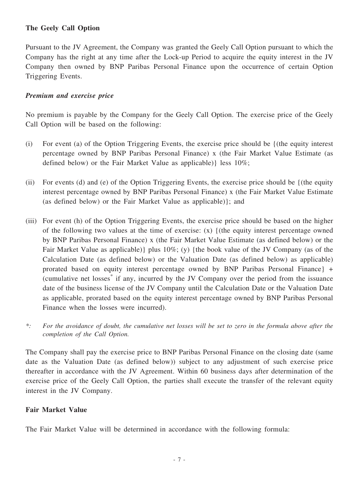## **The Geely Call Option**

Pursuant to the JV Agreement, the Company was granted the Geely Call Option pursuant to which the Company has the right at any time after the Lock-up Period to acquire the equity interest in the JV Company then owned by BNP Paribas Personal Finance upon the occurrence of certain Option Triggering Events.

#### *Premium and exercise price*

No premium is payable by the Company for the Geely Call Option. The exercise price of the Geely Call Option will be based on the following:

- (i) For event (a) of the Option Triggering Events, the exercise price should be {(the equity interest percentage owned by BNP Paribas Personal Finance) x (the Fair Market Value Estimate (as defined below) or the Fair Market Value as applicable)} less 10%;
- (ii) For events (d) and (e) of the Option Triggering Events, the exercise price should be {(the equity interest percentage owned by BNP Paribas Personal Finance) x (the Fair Market Value Estimate (as defined below) or the Fair Market Value as applicable)}; and
- (iii) For event (h) of the Option Triggering Events, the exercise price should be based on the higher of the following two values at the time of exercise: (x) {(the equity interest percentage owned by BNP Paribas Personal Finance) x (the Fair Market Value Estimate (as defined below) or the Fair Market Value as applicable)} plus  $10\%$ ; (y) {the book value of the JV Company (as of the Calculation Date (as defined below) or the Valuation Date (as defined below) as applicable) prorated based on equity interest percentage owned by BNP Paribas Personal Finance} + (cumulative net losses\* if any, incurred by the JV Company over the period from the issuance date of the business license of the JV Company until the Calculation Date or the Valuation Date as applicable, prorated based on the equity interest percentage owned by BNP Paribas Personal Finance when the losses were incurred).
- \*: For the avoidance of doubt, the cumulative net losses will be set to zero in the formula above after the *completion of the Call Option.*

The Company shall pay the exercise price to BNP Paribas Personal Finance on the closing date (same date as the Valuation Date (as defined below)) subject to any adjustment of such exercise price thereafter in accordance with the JV Agreement. Within 60 business days after determination of the exercise price of the Geely Call Option, the parties shall execute the transfer of the relevant equity interest in the JV Company.

#### **Fair Market Value**

The Fair Market Value will be determined in accordance with the following formula: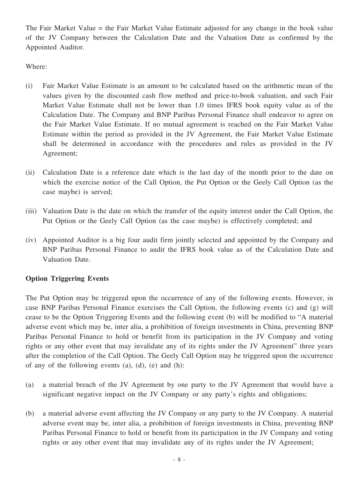The Fair Market Value = the Fair Market Value Estimate adjusted for any change in the book value of the JV Company between the Calculation Date and the Valuation Date as confirmed by the Appointed Auditor.

Where:

- (i) Fair Market Value Estimate is an amount to be calculated based on the arithmetic mean of the values given by the discounted cash flow method and price-to-book valuation, and such Fair Market Value Estimate shall not be lower than 1.0 times IFRS book equity value as of the Calculation Date. The Company and BNP Paribas Personal Finance shall endeavor to agree on the Fair Market Value Estimate. If no mutual agreement is reached on the Fair Market Value Estimate within the period as provided in the JV Agreement, the Fair Market Value Estimate shall be determined in accordance with the procedures and rules as provided in the JV Agreement;
- (ii) Calculation Date is a reference date which is the last day of the month prior to the date on which the exercise notice of the Call Option, the Put Option or the Geely Call Option (as the case maybe) is served;
- (iii) Valuation Date is the date on which the transfer of the equity interest under the Call Option, the Put Option or the Geely Call Option (as the case maybe) is effectively completed; and
- (iv) Appointed Auditor is a big four audit firm jointly selected and appointed by the Company and BNP Paribas Personal Finance to audit the IFRS book value as of the Calculation Date and Valuation Date.

# **Option Triggering Events**

The Put Option may be triggered upon the occurrence of any of the following events. However, in case BNP Paribas Personal Finance exercises the Call Option, the following events (c) and (g) will cease to be the Option Triggering Events and the following event (b) will be modified to "A material adverse event which may be, inter alia, a prohibition of foreign investments in China, preventing BNP Paribas Personal Finance to hold or benefit from its participation in the JV Company and voting rights or any other event that may invalidate any of its rights under the JV Agreement" three years after the completion of the Call Option. The Geely Call Option may be triggered upon the occurrence of any of the following events (a), (d), (e) and (h):

- (a) a material breach of the JV Agreement by one party to the JV Agreement that would have a significant negative impact on the JV Company or any party's rights and obligations;
- (b) a material adverse event affecting the JV Company or any party to the JV Company. A material adverse event may be, inter alia, a prohibition of foreign investments in China, preventing BNP Paribas Personal Finance to hold or benefit from its participation in the JV Company and voting rights or any other event that may invalidate any of its rights under the JV Agreement;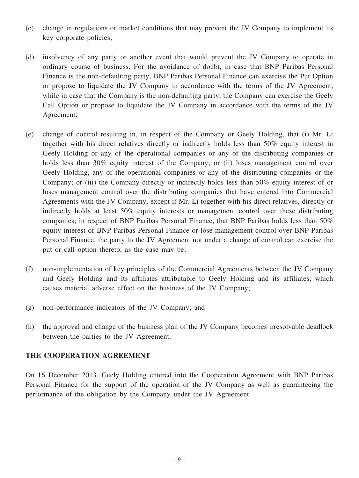- (c) change in regulations or market conditions that may prevent the JV Company to implement its key corporate policies;
- (d) insolvency of any party or another event that would prevent the JV Company to operate in ordinary course of business. For the avoidance of doubt, in case that BNP Paribas Personal Finance is the non-defaulting party, BNP Paribas Personal Finance can exercise the Put Option or propose to liquidate the JV Company in accordance with the terms of the JV Agreement, while in case that the Company is the non-defaulting party, the Company can exercise the Geely Call Option or propose to liquidate the JV Company in accordance with the terms of the JV Agreement;
- (e) change of control resulting in, in respect of the Company or Geely Holding, that (i) Mr. Li together with his direct relatives directly or indirectly holds less than 50% equity interest in Geely Holding or any of the operational companies or any of the distributing companies or holds less than 30% equity interest of the Company; or (ii) loses management control over Geely Holding, any of the operational companies or any of the distributing companies or the Company; or (iii) the Company directly or indirectly holds less than 50% equity interest of or loses management control over the distributing companies that have entered into Commercial Agreements with the JV Company, except if Mr. Li together with his direct relatives, directly or indirectly holds at least 50% equity interests or management control over these distributing companies; in respect of BNP Paribas Personal Finance, that BNP Paribas holds less than 50% equity interest of BNP Paribas Personal Finance or lose management control over BNP Paribas Personal Finance, the party to the JV Agreement not under a change of control can exercise the put or call option thereto, as the case may be;
- (f) non-implementation of key principles of the Commercial Agreements between the JV Company and Geely Holding and its affiliates attributable to Geely Holding and its affiliates, which causes material adverse effect on the business of the JV Company;
- (g) non-performance indicators of the JV Company; and
- (h) the approval and change of the business plan of the JV Company becomes irresolvable deadlock between the parties to the JV Agreement.

## **THE COOPERATION AGREEMENT**

On 16 December 2013, Geely Holding entered into the Cooperation Agreement with BNP Paribas Personal Finance for the support of the operation of the JV Company as well as guaranteeing the performance of the obligation by the Company under the JV Agreement.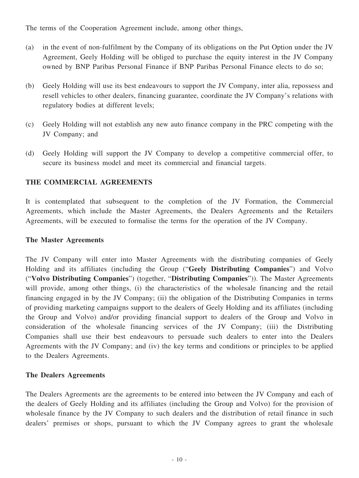The terms of the Cooperation Agreement include, among other things,

- (a) in the event of non-fulfilment by the Company of its obligations on the Put Option under the JV Agreement, Geely Holding will be obliged to purchase the equity interest in the JV Company owned by BNP Paribas Personal Finance if BNP Paribas Personal Finance elects to do so;
- (b) Geely Holding will use its best endeavours to support the JV Company, inter alia, repossess and resell vehicles to other dealers, financing guarantee, coordinate the JV Company's relations with regulatory bodies at different levels;
- (c) Geely Holding will not establish any new auto finance company in the PRC competing with the JV Company; and
- (d) Geely Holding will support the JV Company to develop a competitive commercial offer, to secure its business model and meet its commercial and financial targets.

# **THE COMMERCIAL AGREEMENTS**

It is contemplated that subsequent to the completion of the JV Formation, the Commercial Agreements, which include the Master Agreements, the Dealers Agreements and the Retailers Agreements, will be executed to formalise the terms for the operation of the JV Company.

## **The Master Agreements**

The JV Company will enter into Master Agreements with the distributing companies of Geely Holding and its affiliates (including the Group ("**Geely Distributing Companies**") and Volvo ("**Volvo Distributing Companies**") (together, "**Distributing Companies**")). The Master Agreements will provide, among other things, (i) the characteristics of the wholesale financing and the retail financing engaged in by the JV Company; (ii) the obligation of the Distributing Companies in terms of providing marketing campaigns support to the dealers of Geely Holding and its affiliates (including the Group and Volvo) and/or providing financial support to dealers of the Group and Volvo in consideration of the wholesale financing services of the JV Company; (iii) the Distributing Companies shall use their best endeavours to persuade such dealers to enter into the Dealers Agreements with the JV Company; and (iv) the key terms and conditions or principles to be applied to the Dealers Agreements.

## **The Dealers Agreements**

The Dealers Agreements are the agreements to be entered into between the JV Company and each of the dealers of Geely Holding and its affiliates (including the Group and Volvo) for the provision of wholesale finance by the JV Company to such dealers and the distribution of retail finance in such dealers' premises or shops, pursuant to which the JV Company agrees to grant the wholesale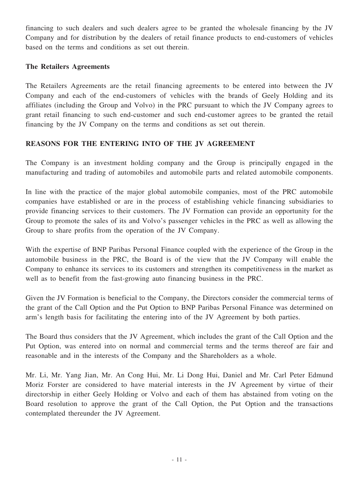financing to such dealers and such dealers agree to be granted the wholesale financing by the JV Company and for distribution by the dealers of retail finance products to end-customers of vehicles based on the terms and conditions as set out therein.

#### **The Retailers Agreements**

The Retailers Agreements are the retail financing agreements to be entered into between the JV Company and each of the end-customers of vehicles with the brands of Geely Holding and its affiliates (including the Group and Volvo) in the PRC pursuant to which the JV Company agrees to grant retail financing to such end-customer and such end-customer agrees to be granted the retail financing by the JV Company on the terms and conditions as set out therein.

# **REASONS FOR THE ENTERING INTO OF THE JV AGREEMENT**

The Company is an investment holding company and the Group is principally engaged in the manufacturing and trading of automobiles and automobile parts and related automobile components.

In line with the practice of the major global automobile companies, most of the PRC automobile companies have established or are in the process of establishing vehicle financing subsidiaries to provide financing services to their customers. The JV Formation can provide an opportunity for the Group to promote the sales of its and Volvo's passenger vehicles in the PRC as well as allowing the Group to share profits from the operation of the JV Company.

With the expertise of BNP Paribas Personal Finance coupled with the experience of the Group in the automobile business in the PRC, the Board is of the view that the JV Company will enable the Company to enhance its services to its customers and strengthen its competitiveness in the market as well as to benefit from the fast-growing auto financing business in the PRC.

Given the JV Formation is beneficial to the Company, the Directors consider the commercial terms of the grant of the Call Option and the Put Option to BNP Paribas Personal Finance was determined on arm's length basis for facilitating the entering into of the JV Agreement by both parties.

The Board thus considers that the JV Agreement, which includes the grant of the Call Option and the Put Option, was entered into on normal and commercial terms and the terms thereof are fair and reasonable and in the interests of the Company and the Shareholders as a whole.

Mr. Li, Mr. Yang Jian, Mr. An Cong Hui, Mr. Li Dong Hui, Daniel and Mr. Carl Peter Edmund Moriz Forster are considered to have material interests in the JV Agreement by virtue of their directorship in either Geely Holding or Volvo and each of them has abstained from voting on the Board resolution to approve the grant of the Call Option, the Put Option and the transactions contemplated thereunder the JV Agreement.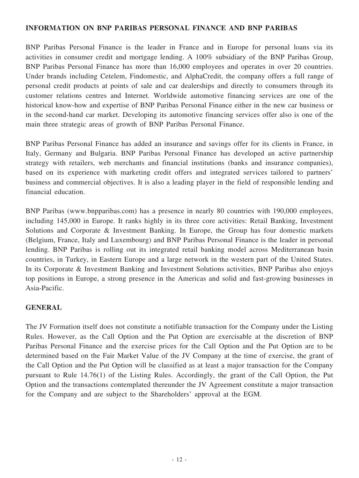## **INFORMATION ON BNP PARIBAS PERSONAL FINANCE AND BNP PARIBAS**

BNP Paribas Personal Finance is the leader in France and in Europe for personal loans via its activities in consumer credit and mortgage lending. A 100% subsidiary of the BNP Paribas Group, BNP Paribas Personal Finance has more than 16,000 employees and operates in over 20 countries. Under brands including Cetelem, Findomestic, and AlphaCredit, the company offers a full range of personal credit products at points of sale and car dealerships and directly to consumers through its customer relations centres and Internet. Worldwide automotive financing services are one of the historical know-how and expertise of BNP Paribas Personal Finance either in the new car business or in the second-hand car market. Developing its automotive financing services offer also is one of the main three strategic areas of growth of BNP Paribas Personal Finance.

BNP Paribas Personal Finance has added an insurance and savings offer for its clients in France, in Italy, Germany and Bulgaria. BNP Paribas Personal Finance has developed an active partnership strategy with retailers, web merchants and financial institutions (banks and insurance companies), based on its experience with marketing credit offers and integrated services tailored to partners' business and commercial objectives. It is also a leading player in the field of responsible lending and financial education.

BNP Paribas (www.bnpparibas.com) has a presence in nearly 80 countries with 190,000 employees, including 145,000 in Europe. It ranks highly in its three core activities: Retail Banking, Investment Solutions and Corporate & Investment Banking. In Europe, the Group has four domestic markets (Belgium, France, Italy and Luxembourg) and BNP Paribas Personal Finance is the leader in personal lending. BNP Paribas is rolling out its integrated retail banking model across Mediterranean basin countries, in Turkey, in Eastern Europe and a large network in the western part of the United States. In its Corporate & Investment Banking and Investment Solutions activities, BNP Paribas also enjoys top positions in Europe, a strong presence in the Americas and solid and fast-growing businesses in Asia-Pacific.

## **GENERAL**

The JV Formation itself does not constitute a notifiable transaction for the Company under the Listing Rules. However, as the Call Option and the Put Option are exercisable at the discretion of BNP Paribas Personal Finance and the exercise prices for the Call Option and the Put Option are to be determined based on the Fair Market Value of the JV Company at the time of exercise, the grant of the Call Option and the Put Option will be classified as at least a major transaction for the Company pursuant to Rule 14.76(1) of the Listing Rules. Accordingly, the grant of the Call Option, the Put Option and the transactions contemplated thereunder the JV Agreement constitute a major transaction for the Company and are subject to the Shareholders' approval at the EGM.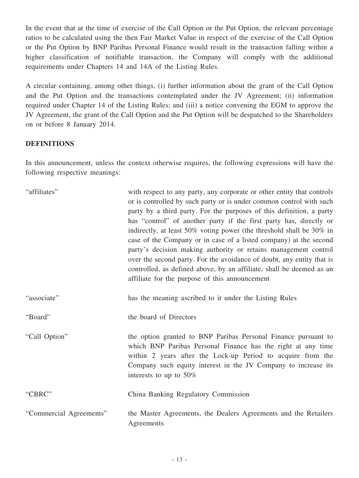In the event that at the time of exercise of the Call Option or the Put Option, the relevant percentage ratios to be calculated using the then Fair Market Value in respect of the exercise of the Call Option or the Put Option by BNP Paribas Personal Finance would result in the transaction falling within a higher classification of notifiable transaction, the Company will comply with the additional requirements under Chapters 14 and 14A of the Listing Rules.

A circular containing, among other things, (i) further information about the grant of the Call Option and the Put Option and the transactions contemplated under the JV Agreement; (ii) information required under Chapter 14 of the Listing Rules; and (iii) a notice convening the EGM to approve the JV Agreement, the grant of the Call Option and the Put Option will be despatched to the Shareholders on or before 8 January 2014.

## **DEFINITIONS**

In this announcement, unless the context otherwise requires, the following expressions will have the following respective meanings:

| "affiliates"            | with respect to any party, any corporate or other entity that controls<br>or is controlled by such party or is under common control with such<br>party by a third party. For the purposes of this definition, a party<br>has "control" of another party if the first party has, directly or<br>indirectly, at least 50% voting power (the threshold shall be 30% in<br>case of the Company or in case of a listed company) at the second<br>party's decision making authority or retains management control<br>over the second party. For the avoidance of doubt, any entity that is<br>controlled, as defined above, by an affiliate, shall be deemed as an<br>affiliate for the purpose of this announcement |
|-------------------------|----------------------------------------------------------------------------------------------------------------------------------------------------------------------------------------------------------------------------------------------------------------------------------------------------------------------------------------------------------------------------------------------------------------------------------------------------------------------------------------------------------------------------------------------------------------------------------------------------------------------------------------------------------------------------------------------------------------|
| "associate"             | has the meaning ascribed to it under the Listing Rules                                                                                                                                                                                                                                                                                                                                                                                                                                                                                                                                                                                                                                                         |
| "Board"                 | the board of Directors                                                                                                                                                                                                                                                                                                                                                                                                                                                                                                                                                                                                                                                                                         |
| "Call Option"           | the option granted to BNP Paribas Personal Finance pursuant to<br>which BNP Paribas Personal Finance has the right at any time<br>within 2 years after the Lock-up Period to acquire from the<br>Company such equity interest in the JV Company to increase its<br>interests to up to $50\%$                                                                                                                                                                                                                                                                                                                                                                                                                   |
| "CBRC"                  | China Banking Regulatory Commission                                                                                                                                                                                                                                                                                                                                                                                                                                                                                                                                                                                                                                                                            |
| "Commercial Agreements" | the Master Agreements, the Dealers Agreements and the Retailers<br>Agreements                                                                                                                                                                                                                                                                                                                                                                                                                                                                                                                                                                                                                                  |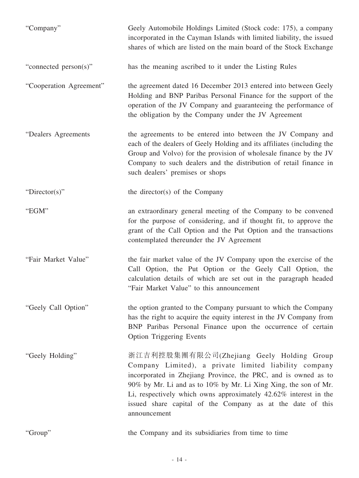| "Company"               | Geely Automobile Holdings Limited (Stock code: 175), a company<br>incorporated in the Cayman Islands with limited liability, the issued<br>shares of which are listed on the main board of the Stock Exchange                                                                                                                                                                             |
|-------------------------|-------------------------------------------------------------------------------------------------------------------------------------------------------------------------------------------------------------------------------------------------------------------------------------------------------------------------------------------------------------------------------------------|
| "connected person(s)"   | has the meaning ascribed to it under the Listing Rules                                                                                                                                                                                                                                                                                                                                    |
| "Cooperation Agreement" | the agreement dated 16 December 2013 entered into between Geely<br>Holding and BNP Paribas Personal Finance for the support of the<br>operation of the JV Company and guaranteeing the performance of<br>the obligation by the Company under the JV Agreement                                                                                                                             |
| "Dealers Agreements     | the agreements to be entered into between the JV Company and<br>each of the dealers of Geely Holding and its affiliates (including the<br>Group and Volvo) for the provision of wholesale finance by the JV<br>Company to such dealers and the distribution of retail finance in<br>such dealers' premises or shops                                                                       |
| "Director(s)"           | the director(s) of the Company                                                                                                                                                                                                                                                                                                                                                            |
| "EGM"                   | an extraordinary general meeting of the Company to be convened<br>for the purpose of considering, and if thought fit, to approve the<br>grant of the Call Option and the Put Option and the transactions<br>contemplated thereunder the JV Agreement                                                                                                                                      |
| "Fair Market Value"     | the fair market value of the JV Company upon the exercise of the<br>Call Option, the Put Option or the Geely Call Option, the<br>calculation details of which are set out in the paragraph headed<br>"Fair Market Value" to this announcement                                                                                                                                             |
| "Geely Call Option"     | the option granted to the Company pursuant to which the Company<br>has the right to acquire the equity interest in the JV Company from<br>BNP Paribas Personal Finance upon the occurrence of certain<br><b>Option Triggering Events</b>                                                                                                                                                  |
| "Geely Holding"         | 浙江吉利控股集團有限公司(Zhejiang Geely Holding Group<br>Company Limited), a private limited liability company<br>incorporated in Zhejiang Province, the PRC, and is owned as to<br>90% by Mr. Li and as to 10% by Mr. Li Xing Xing, the son of Mr.<br>Li, respectively which owns approximately 42.62% interest in the<br>issued share capital of the Company as at the date of this<br>announcement |
| "Group"                 | the Company and its subsidiaries from time to time                                                                                                                                                                                                                                                                                                                                        |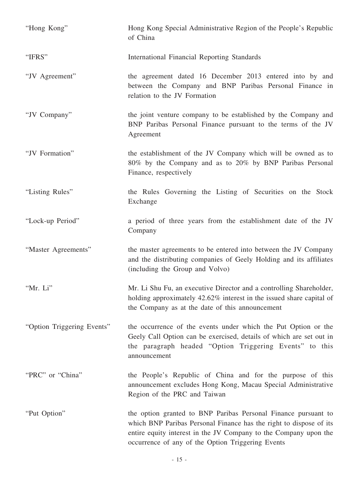| "Hong Kong"                | Hong Kong Special Administrative Region of the People's Republic<br>of China                                                                                                                                                                                  |
|----------------------------|---------------------------------------------------------------------------------------------------------------------------------------------------------------------------------------------------------------------------------------------------------------|
| "IFRS"                     | International Financial Reporting Standards                                                                                                                                                                                                                   |
| "JV Agreement"             | the agreement dated 16 December 2013 entered into by and<br>between the Company and BNP Paribas Personal Finance in<br>relation to the JV Formation                                                                                                           |
| "JV Company"               | the joint venture company to be established by the Company and<br>BNP Paribas Personal Finance pursuant to the terms of the JV<br>Agreement                                                                                                                   |
| "JV Formation"             | the establishment of the JV Company which will be owned as to<br>80% by the Company and as to 20% by BNP Paribas Personal<br>Finance, respectively                                                                                                            |
| "Listing Rules"            | the Rules Governing the Listing of Securities on the Stock<br>Exchange                                                                                                                                                                                        |
| "Lock-up Period"           | a period of three years from the establishment date of the JV<br>Company                                                                                                                                                                                      |
| "Master Agreements"        | the master agreements to be entered into between the JV Company<br>and the distributing companies of Geely Holding and its affiliates<br>(including the Group and Volvo)                                                                                      |
| "Mr. Li"                   | Mr. Li Shu Fu, an executive Director and a controlling Shareholder,<br>holding approximately 42.62% interest in the issued share capital of<br>the Company as at the date of this announcement                                                                |
| "Option Triggering Events" | the occurrence of the events under which the Put Option or the<br>Geely Call Option can be exercised, details of which are set out in<br>the paragraph headed "Option Triggering Events" to this<br>announcement                                              |
| "PRC" or "China"           | the People's Republic of China and for the purpose of this<br>announcement excludes Hong Kong, Macau Special Administrative<br>Region of the PRC and Taiwan                                                                                                   |
| "Put Option"               | the option granted to BNP Paribas Personal Finance pursuant to<br>which BNP Paribas Personal Finance has the right to dispose of its<br>entire equity interest in the JV Company to the Company upon the<br>occurrence of any of the Option Triggering Events |